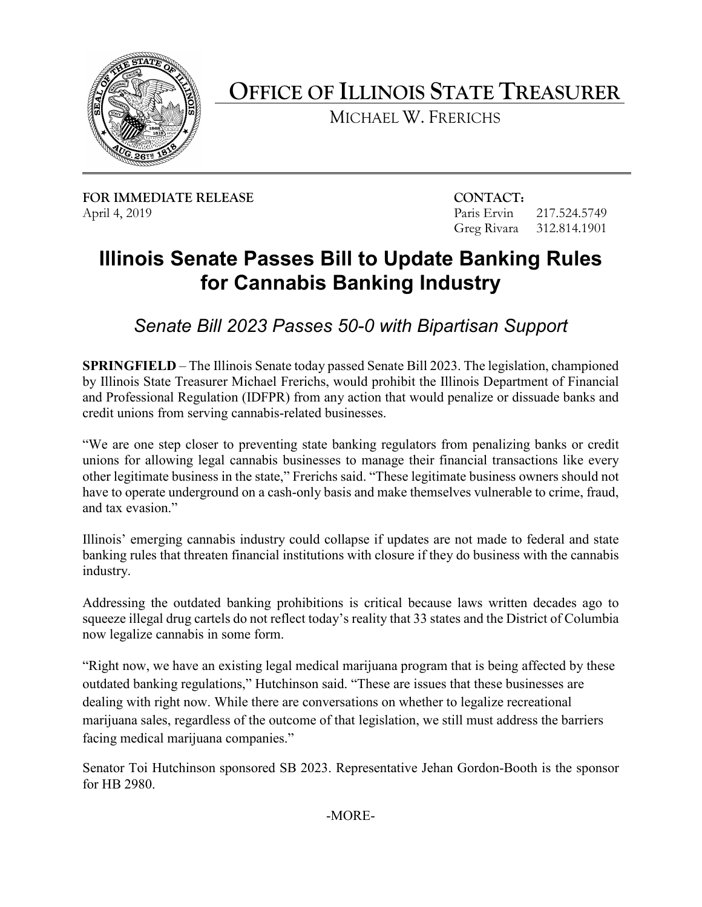

## **OFFICE OF ILLINOIS STATE TREASURER**

MICHAEL W. FRERICHS

**FOR IMMEDIATE RELEASE CONTACT:** April 4, 2019

Paris Ervin 217.524.5749 Greg Rivara 312.814.1901

## **Illinois Senate Passes Bill to Update Banking Rules for Cannabis Banking Industry**

 *Senate Bill 2023 Passes 50-0 with Bipartisan Support* 

**SPRINGFIELD** – The Illinois Senate today passed Senate Bill 2023. The legislation, championed by Illinois State Treasurer Michael Frerichs, would prohibit the Illinois Department of Financial and Professional Regulation (IDFPR) from any action that would penalize or dissuade banks and credit unions from serving cannabis-related businesses.

 "We are one step closer to preventing state banking regulators from penalizing banks or credit unions for allowing legal cannabis businesses to manage their financial transactions like every have to operate underground on a cash-only basis and make themselves vulnerable to crime, fraud, other legitimate business in the state," Frerichs said. "These legitimate business owners should not and tax evasion."

Illinois' emerging cannabis industry could collapse if updates are not made to federal and state banking rules that threaten financial institutions with closure if they do business with the cannabis industry.

Addressing the outdated banking prohibitions is critical because laws written decades ago to squeeze illegal drug cartels do not reflect today's reality that 33 states and the District of Columbia now legalize cannabis in some form.

 "Right now, we have an existing legal medical marijuana program that is being affected by these outdated banking regulations," Hutchinson said. "These are issues that these businesses are dealing with right now. While there are conversations on whether to legalize recreational marijuana sales, regardless of the outcome of that legislation, we still must address the barriers facing medical marijuana companies."

for HB 2980. Senator Toi Hutchinson sponsored SB 2023. Representative Jehan Gordon-Booth is the sponsor for HB 2980.  $\blacksquare$